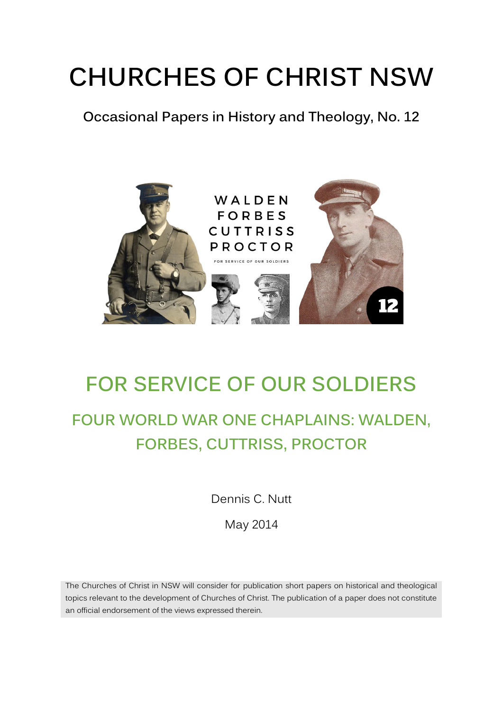# **CHURCHES OF CHRIST NSW**

**Occasional Papers in History and Theology, No. 12**



## **FOR SERVICE OF OUR SOLDIERS**

## **FOUR WORLD WAR ONE CHAPLAINS: WALDEN, FORBES, CUTTRISS, PROCTOR**

Dennis C. Nutt

May 2014

The Churches of Christ in NSW will consider for publication short papers on historical and theological topics relevant to the development of Churches of Christ. The publication of a paper does not constitute an official endorsement of the views expressed therein.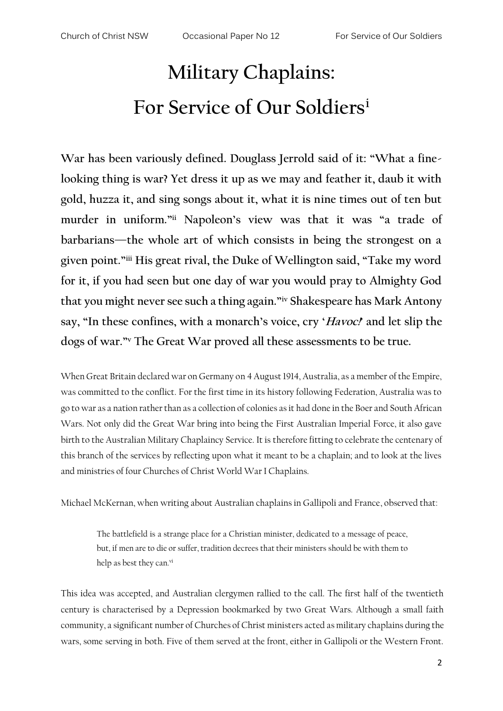# **Military Chaplains: For Service of Our Soldiers<sup>i</sup>**

**War has been variously defined. Douglass Jerrold said of it: "What a finelooking thing is war? Yet dress it up as we may and feather it, daub it with gold, huzza it, and sing songs about it, what it is nine times out of ten but murder in uniform."ii Napoleon's view was that it was "a trade of barbarians—the whole art of which consists in being the strongest on a given point."iii His great rival, the Duke of Wellington said, "Take my word for it, if you had seen but one day of war you would pray to Almighty God that you might never see such a thing again."iv Shakespeare has Mark Antony say, "In these confines, with a monarch's voice, cry 'Havoc!' and let slip the dogs of war."<sup>v</sup> The Great War proved all these assessments to be true.**

When Great Britain declared war on Germany on 4 August 1914, Australia, as a member of the Empire, was committed to the conflict. For the first time in its history following Federation, Australia was to go to war as a nation rather than as a collection of colonies as it had done in the Boer and South African Wars. Not only did the Great War bring into being the First Australian Imperial Force, it also gave birth to the Australian Military Chaplaincy Service. It is therefore fitting to celebrate the centenary of this branch of the services by reflecting upon what it meant to be a chaplain; and to look at the lives and ministries of four Churches of Christ World War I Chaplains.

Michael McKernan, when writing about Australian chaplains in Gallipoli and France, observed that:

The battlefield is a strange place for a Christian minister, dedicated to a message of peace, but, if men are to die or suffer, tradition decrees that their ministers should be with them to help as best they can.<sup>vi</sup>

This idea was accepted, and Australian clergymen rallied to the call. The first half of the twentieth century is characterised by a Depression bookmarked by two Great Wars. Although a small faith community, a significant number of Churches of Christ ministers acted as military chaplains during the wars, some serving in both. Five of them served at the front, either in Gallipoli or the Western Front.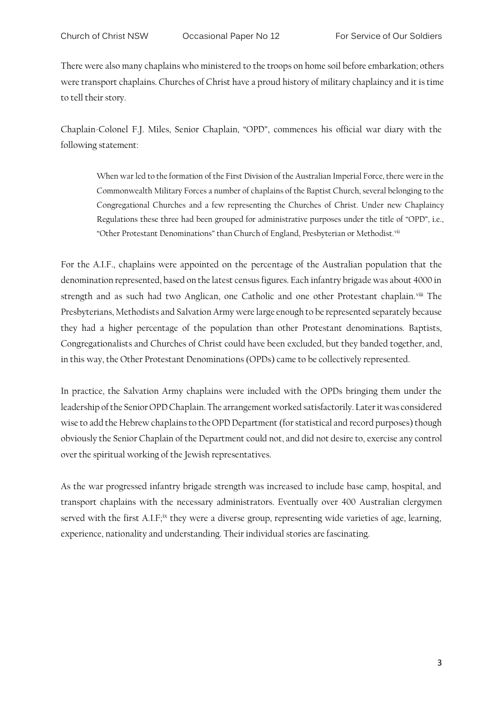There were also many chaplains who ministered to the troops on home soil before embarkation; others were transport chaplains. Churches of Christ have a proud history of military chaplaincy and it is time to tell their story.

Chaplain-Colonel F.J. Miles, Senior Chaplain, "OPD", commences his official war diary with the following statement:

When war led to the formation of the First Division of the Australian Imperial Force, there were in the Commonwealth Military Forces a number of chaplains of the Baptist Church, several belonging to the Congregational Churches and a few representing the Churches of Christ. Under new Chaplaincy Regulations these three had been grouped for administrative purposes under the title of "OPD", i.e., "Other Protestant Denominations" than Church of England, Presbyterian or Methodist.<sup>vii</sup>

For the A.I.F., chaplains were appointed on the percentage of the Australian population that the denomination represented, based on the latest census figures. Each infantry brigade was about 4000 in strength and as such had two Anglican, one Catholic and one other Protestant chaplain.<sup>viii</sup> The Presbyterians, Methodists and Salvation Army were large enough to be represented separately because they had a higher percentage of the population than other Protestant denominations. Baptists, Congregationalists and Churches of Christ could have been excluded, but they banded together, and, in this way, the Other Protestant Denominations (OPDs) came to be collectively represented.

In practice, the Salvation Army chaplains were included with the OPDs bringing them under the leadership of the Senior OPD Chaplain. The arrangement worked satisfactorily. Later it was considered wise to add the Hebrew chaplains to the OPD Department (for statistical and record purposes) though obviously the Senior Chaplain of the Department could not, and did not desire to, exercise any control over the spiritual working of the Jewish representatives.

As the war progressed infantry brigade strength was increased to include base camp, hospital, and transport chaplains with the necessary administrators. Eventually over 400 Australian clergymen served with the first A.I.F;<sup>ix</sup> they were a diverse group, representing wide varieties of age, learning, experience, nationality and understanding. Their individual stories are fascinating.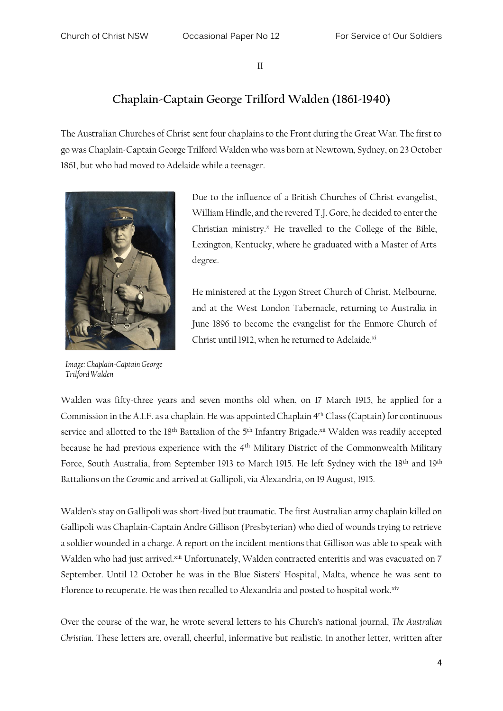II

#### **Chaplain-Captain George Trilford Walden (1861-1940)**

The Australian Churches of Christ sent four chaplains to the Front during the Great War. The first to go was Chaplain-Captain George Trilford Walden who was born at Newtown, Sydney, on 23 October 1861, but who had moved to Adelaide while a teenager.



*Image: Chaplain-Captain George Trilford Walden*

Due to the influence of a British Churches of Christ evangelist, William Hindle, and the revered T.J. Gore, he decided to enter the Christian ministry. $^x$  He travelled to the College of the Bible, Lexington, Kentucky, where he graduated with a Master of Arts degree.

He ministered at the Lygon Street Church of Christ, Melbourne, and at the West London Tabernacle, returning to Australia in June 1896 to become the evangelist for the Enmore Church of Christ until 1912, when he returned to Adelaide.<sup>xi</sup>

Walden was fifty-three years and seven months old when, on 17 March 1915, he applied for a Commission in the A.I.F. as a chaplain. He was appointed Chaplain 4th Class (Captain) for continuous service and allotted to the 18<sup>th</sup> Battalion of the 5<sup>th</sup> Infantry Brigade.<sup>xii</sup> Walden was readily accepted because he had previous experience with the 4th Military District of the Commonwealth Military Force, South Australia, from September 1913 to March 1915. He left Sydney with the 18<sup>th</sup> and 19<sup>th</sup> Battalions on the *Ceramic* and arrived at Gallipoli, via Alexandria, on 19 August, 1915.

Walden's stay on Gallipoli was short-lived but traumatic. The first Australian army chaplain killed on Gallipoli was Chaplain-Captain Andre Gillison (Presbyterian) who died of wounds trying to retrieve a soldier wounded in a charge. A report on the incident mentions that Gillison was able to speak with Walden who had just arrived.<sup>xiii</sup> Unfortunately, Walden contracted enteritis and was evacuated on 7 September. Until 12 October he was in the Blue Sisters' Hospital, Malta, whence he was sent to Florence to recuperate. He was then recalled to Alexandria and posted to hospital work.<sup>xiv</sup>

Over the course of the war, he wrote several letters to his Church's national journal, *The Australian Christian*. These letters are, overall, cheerful, informative but realistic. In another letter, written after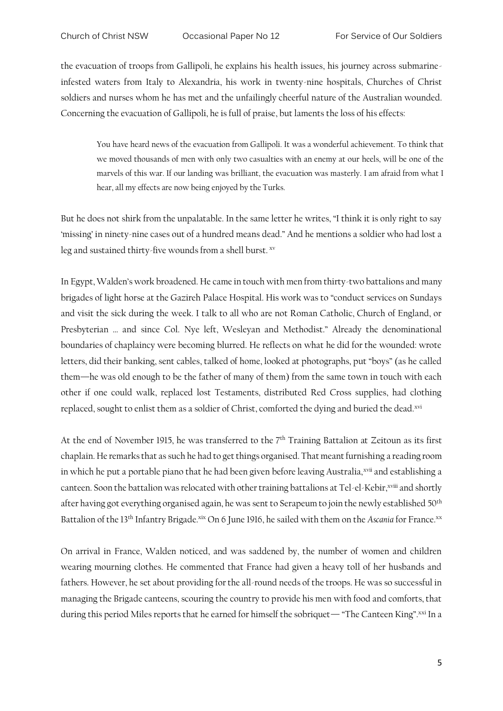the evacuation of troops from Gallipoli, he explains his health issues, his journey across submarineinfested waters from Italy to Alexandria, his work in twenty-nine hospitals, Churches of Christ soldiers and nurses whom he has met and the unfailingly cheerful nature of the Australian wounded. Concerning the evacuation of Gallipoli, he is full of praise, but laments the loss of his effects:

You have heard news of the evacuation from Gallipoli. It was a wonderful achievement. To think that we moved thousands of men with only two casualties with an enemy at our heels, will be one of the marvels of this war. If our landing was brilliant, the evacuation was masterly. I am afraid from what I hear, all my effects are now being enjoyed by the Turks.

But he does not shirk from the unpalatable. In the same letter he writes, "I think it is only right to say 'missing' in ninety-nine cases out of a hundred means dead." And he mentions a soldier who had lost a leg and sustained thirty-five wounds from a shell burst. xv

In Egypt, Walden's work broadened. He came in touch with men from thirty-two battalions and many brigades of light horse at the Gazireh Palace Hospital. His work was to "conduct services on Sundays and visit the sick during the week. I talk to all who are not Roman Catholic, Church of England, or Presbyterian … and since Col. Nye left, Wesleyan and Methodist." Already the denominational boundaries of chaplaincy were becoming blurred. He reflects on what he did for the wounded: wrote letters, did their banking, sent cables, talked of home, looked at photographs, put "boys" (as he called them—he was old enough to be the father of many of them) from the same town in touch with each other if one could walk, replaced lost Testaments, distributed Red Cross supplies, had clothing replaced, sought to enlist them as a soldier of Christ, comforted the dying and buried the dead.xvi

At the end of November 1915, he was transferred to the 7<sup>th</sup> Training Battalion at Zeitoun as its first chaplain. He remarks that as such he had to get things organised. That meant furnishing a reading room in which he put a portable piano that he had been given before leaving Australia, xvii and establishing a canteen. Soon the battalion was relocated with other training battalions at Tel-el-Kebir, xviii and shortly after having got everything organised again, he was sent to Serapeum to join the newly established 50<sup>th</sup> Battalion of the 13<sup>th</sup> Infantry Brigade.<sup>xix</sup> On 6 June 1916, he sailed with them on the *Ascania* for France.<sup>xx</sup>

On arrival in France, Walden noticed, and was saddened by, the number of women and children wearing mourning clothes. He commented that France had given a heavy toll of her husbands and fathers. However, he set about providing for the all-round needs of the troops. He was so successful in managing the Brigade canteens, scouring the country to provide his men with food and comforts, that during this period Miles reports that he earned for himself the sobriquet— "The Canteen King".xxi In a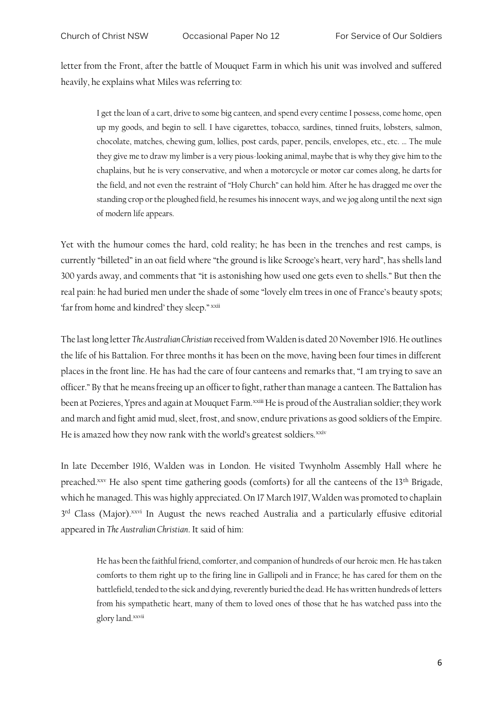letter from the Front, after the battle of Mouquet Farm in which his unit was involved and suffered heavily, he explains what Miles was referring to:

I get the loan of a cart, drive to some big canteen, and spend every centime I possess, come home, open up my goods, and begin to sell. I have cigarettes, tobacco, sardines, tinned fruits, lobsters, salmon, chocolate, matches, chewing gum, lollies, post cards, paper, pencils, envelopes, etc., etc. … The mule they give me to draw my limber is a very pious-looking animal, maybe that is why they give him to the chaplains, but he is very conservative, and when a motorcycle or motor car comes along, he darts for the field, and not even the restraint of "Holy Church" can hold him. After he has dragged me over the standing crop or the ploughed field, he resumes his innocent ways, and we jog along until the next sign of modern life appears.

Yet with the humour comes the hard, cold reality; he has been in the trenches and rest camps, is currently "billeted" in an oat field where "the ground is like Scrooge's heart, very hard", has shells land 300 yards away, and comments that "it is astonishing how used one gets even to shells." But then the real pain: he had buried men under the shade of some "lovely elm trees in one of France's beauty spots; 'far from home and kindred' they sleep." xxii

The last long letter *The Australian Christian* received from Walden is dated 20 November 1916. He outlines the life of his Battalion. For three months it has been on the move, having been four times in different places in the front line. He has had the care of four canteens and remarks that, "I am trying to save an officer." By that he means freeing up an officer to fight, rather than manage a canteen. The Battalion has been at Pozieres, Ypres and again at Mouquet Farm.<sup>xxiii</sup> He is proud of the Australian soldier; they work and march and fight amid mud, sleet, frost, and snow, endure privations as good soldiers of the Empire. He is amazed how they now rank with the world's greatest soldiers.<sup>xxiv</sup>

In late December 1916, Walden was in London. He visited Twynholm Assembly Hall where he preached.xxv He also spent time gathering goods (comforts) for all the canteens of the 13<sup>th</sup> Brigade, which he managed. This was highly appreciated. On 17 March 1917, Walden was promoted to chaplain 3<sup>rd</sup> Class (Major).<sup>xxvi</sup> In August the news reached Australia and a particularly effusive editorial appeared in *The Australian Christian*. It said of him:

He has been the faithful friend, comforter, and companion of hundreds of our heroic men. He has taken comforts to them right up to the firing line in Gallipoli and in France; he has cared for them on the battlefield, tended to the sick and dying, reverently buried the dead. He has written hundreds of letters from his sympathetic heart, many of them to loved ones of those that he has watched pass into the glory land.<sup>xxvii</sup>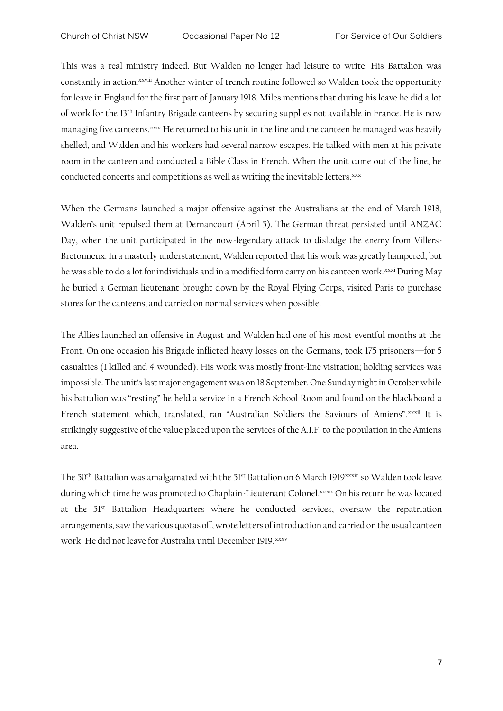This was a real ministry indeed. But Walden no longer had leisure to write. His Battalion was constantly in action.<sup>xxviii</sup> Another winter of trench routine followed so Walden took the opportunity for leave in England for the first part of January 1918. Miles mentions that during his leave he did a lot of work for the 13th Infantry Brigade canteens by securing supplies not available in France. He is now managing five canteens.<sup>xxix</sup> He returned to his unit in the line and the canteen he managed was heavily shelled, and Walden and his workers had several narrow escapes. He talked with men at his private room in the canteen and conducted a Bible Class in French. When the unit came out of the line, he conducted concerts and competitions as well as writing the inevitable letters.xxx

When the Germans launched a major offensive against the Australians at the end of March 1918, Walden's unit repulsed them at Dernancourt (April 5). The German threat persisted until ANZAC Day, when the unit participated in the now-legendary attack to dislodge the enemy from Villers-Bretonneux. In a masterly understatement, Walden reported that his work was greatly hampered, but he was able to do a lot for individuals and in a modified form carry on his canteen work.<sup>xxxi</sup> During May he buried a German lieutenant brought down by the Royal Flying Corps, visited Paris to purchase stores for the canteens, and carried on normal services when possible.

The Allies launched an offensive in August and Walden had one of his most eventful months at the Front. On one occasion his Brigade inflicted heavy losses on the Germans, took 175 prisoners—for 5 casualties (1 killed and 4 wounded). His work was mostly front-line visitation; holding services was impossible. The unit's last major engagement was on 18 September. One Sunday night in October while his battalion was "resting" he held a service in a French School Room and found on the blackboard a French statement which, translated, ran "Australian Soldiers the Saviours of Amiens". xxxii It is strikingly suggestive of the value placed upon the services of the A.I.F. to the population in the Amiens area.

The 50<sup>th</sup> Battalion was amalgamated with the 51<sup>st</sup> Battalion on 6 March 1919<sup>xxxiii</sup> so Walden took leave during which time he was promoted to Chaplain-Lieutenant Colonel.xxxiv On his return he was located at the 51st Battalion Headquarters where he conducted services, oversaw the repatriation arrangements, saw the various quotas off, wrote letters of introduction and carried on the usual canteen work. He did not leave for Australia until December 1919. xxxv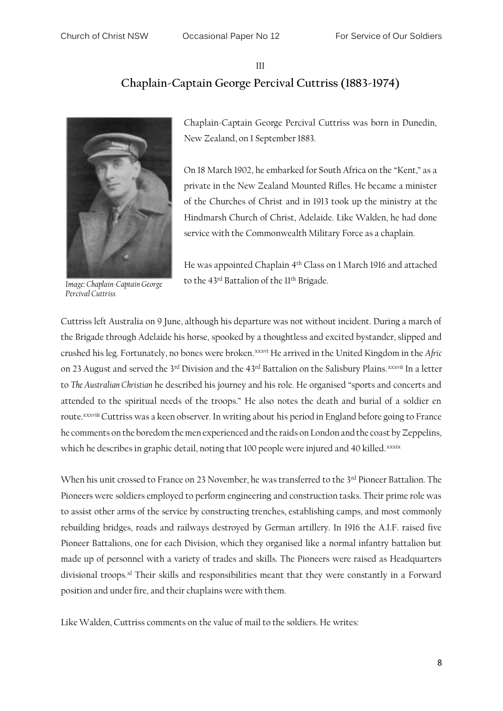#### III **Chaplain-Captain George Percival Cuttriss (1883-1974)**



*Image: Chaplain-Captain George Percival Cuttriss*

Chaplain-Captain George Percival Cuttriss was born in Dunedin, New Zealand, on 1 September 1883.

On 18 March 1902, he embarked for South Africa on the "Kent," as a private in the New Zealand Mounted Rifles. He became a minister of the Churches of Christ and in 1913 took up the ministry at the Hindmarsh Church of Christ, Adelaide. Like Walden, he had done service with the Commonwealth Military Force as a chaplain.

He was appointed Chaplain 4th Class on 1 March 1916 and attached to the 43<sup>rd</sup> Battalion of the 11<sup>th</sup> Brigade.

Cuttriss left Australia on 9 June, although his departure was not without incident. During a march of the Brigade through Adelaide his horse, spooked by a thoughtless and excited bystander, slipped and crushed his leg. Fortunately, no bones were broken.xxxvi He arrived in the United Kingdom in the *Afric* on 23 August and served the 3<sup>rd</sup> Division and the 43<sup>rd</sup> Battalion on the Salisbury Plains.<sup>xxxvii</sup> In a letter to *The Australian Christian* he described his journey and his role. He organised "sports and concerts and attended to the spiritual needs of the troops." He also notes the death and burial of a soldier en route.<sup>xxxviii</sup> Cuttriss was a keen observer. In writing about his period in England before going to France he comments on the boredom the men experienced and the raids on London and the coast by Zeppelins, which he describes in graphic detail, noting that 100 people were injured and 40 killed.xxxix

When his unit crossed to France on 23 November, he was transferred to the 3<sup>rd</sup> Pioneer Battalion. The Pioneers were soldiers employed to perform engineering and construction tasks. Their prime role was to assist other arms of the service by constructing trenches, establishing camps, and most commonly rebuilding bridges, roads and railways destroyed by German artillery. In 1916 the A.I.F. raised five Pioneer Battalions, one for each Division, which they organised like a normal infantry battalion but made up of personnel with a variety of trades and skills. The Pioneers were raised as Headquarters divisional troops.<sup>xl</sup> Their skills and responsibilities meant that they were constantly in a Forward position and under fire, and their chaplains were with them.

Like Walden, Cuttriss comments on the value of mail to the soldiers. He writes: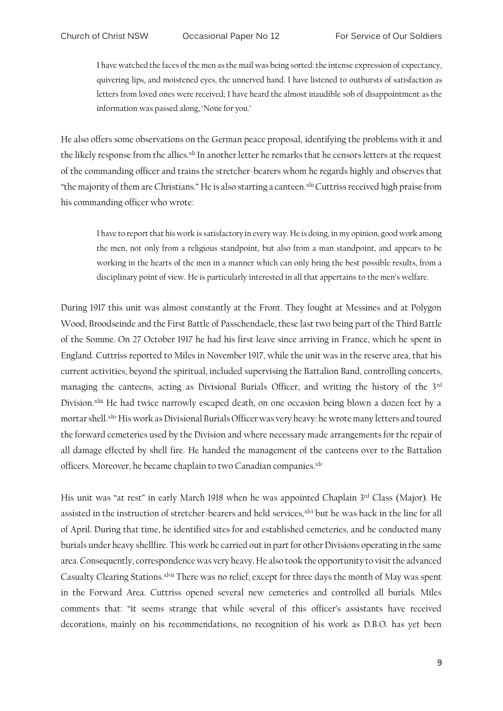I have watched the faces of the men as the mail was being sorted: the intense expression of expectancy, quivering lips, and moistened eyes, the unnerved hand. I have listened to outbursts of satisfaction as letters from loved ones were received; I have heard the almost inaudible sob of disappointment as the information was passed along, 'None for you.'

He also offers some observations on the German peace proposal, identifying the problems with it and the likely response from the allies.<sup>xli</sup> In another letter he remarks that he censors letters at the request of the commanding officer and trains the stretcher-bearers whom he regards highly and observes that "the majority of them are Christians." He is also starting a canteen.<sup>xlii</sup> Cuttriss received high praise from his commanding officer who wrote:

I have to report that his work is satisfactory in every way. He is doing, in my opinion, good work among the men, not only from a religious standpoint, but also from a man standpoint, and appears to be working in the hearts of the men in a manner which can only bring the best possible results, from a disciplinary point of view. He is particularly interested in all that appertains to the men's welfare.

During 1917 this unit was almost constantly at the Front. They fought at Messines and at Polygon Wood, Broodseinde and the First Battle of Passchendaele, these last two being part of the Third Battle of the Somme. On 27 October 1917 he had his first leave since arriving in France, which he spent in England. Cuttriss reported to Miles in November 1917, while the unit was in the reserve area, that his current activities, beyond the spiritual, included supervising the Battalion Band, controlling concerts, managing the canteens, acting as Divisional Burials Officer, and writing the history of the 3rd Division.<sup>xliii</sup> He had twice narrowly escaped death, on one occasion being blown a dozen feet by a mortar shell.xliv His work as Divisional Burials Officer was very heavy: he wrote many letters and toured the forward cemeteries used by the Division and where necessary made arrangements for the repair of all damage effected by shell fire. He handed the management of the canteens over to the Battalion officers. Moreover, he became chaplain to two Canadian companies.<sup>xlv</sup>

His unit was "at rest" in early March 1918 when he was appointed Chaplain 3rd Class (Major). He assisted in the instruction of stretcher-bearers and held services,<sup>xlvi</sup> but he was back in the line for all of April. During that time, he identified sites for and established cemeteries, and he conducted many burials under heavy shellfire. This work he carried out in part for other Divisions operating in the same area. Consequently, correspondence was very heavy. He also took the opportunity to visit the advanced Casualty Clearing Stations.<sup>xlvii</sup> There was no relief; except for three days the month of May was spent in the Forward Area. Cuttriss opened several new cemeteries and controlled all burials. Miles comments that: "it seems strange that while several of this officer's assistants have received decorations, mainly on his recommendations, no recognition of his work as D.B.O. has yet been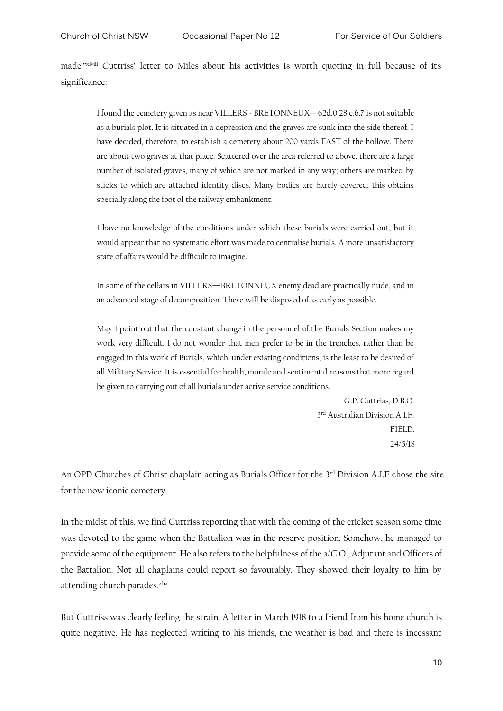made."xlviii Cuttriss' letter to Miles about his activities is worth quoting in full because of its significance:

I found the cemetery given as near VILLERS - BRETONNEUX—62d.0.28.c.6.7 is not suitable as a burials plot. It is situated in a depression and the graves are sunk into the side thereof. I have decided, therefore, to establish a cemetery about 200 yards EAST of the hollow. There are about two graves at that place. Scattered over the area referred to above, there are a large number of isolated graves, many of which are not marked in any way; others are marked by sticks to which are attached identity discs. Many bodies are barely covered; this obtains specially along the foot of the railway embankment.

I have no knowledge of the conditions under which these burials were carried out, but it would appear that no systematic effort was made to centralise burials. A more unsatisfactory state of affairs would be difficult to imagine.

In some of the cellars in VILLERS—BRETONNEUX enemy dead are practically nude, and in an advanced stage of decomposition. These will be disposed of as early as possible.

May I point out that the constant change in the personnel of the Burials Section makes my work very difficult. I do not wonder that men prefer to be in the trenches, rather than be engaged in this work of Burials, which, under existing conditions, is the least to be desired of all Military Service. It is essential for health, morale and sentimental reasons that more regard be given to carrying out of all burials under active service conditions.

> G.P. Cuttriss, D.B.O. 3 rd Australian Division A.I.F. FIELD, 24/5/18

An OPD Churches of Christ chaplain acting as Burials Officer for the 3<sup>rd</sup> Division A.I.F chose the site for the now iconic cemetery.

In the midst of this, we find Cuttriss reporting that with the coming of the cricket season some time was devoted to the game when the Battalion was in the reserve position. Somehow, he managed to provide some of the equipment. He also refers to the helpfulness of the a/C.O., Adjutant and Officers of the Battalion. Not all chaplains could report so favourably. They showed their loyalty to him by attending church parades.xlix

But Cuttriss was clearly feeling the strain. A letter in March 1918 to a friend from his home church is quite negative. He has neglected writing to his friends, the weather is bad and there is incessant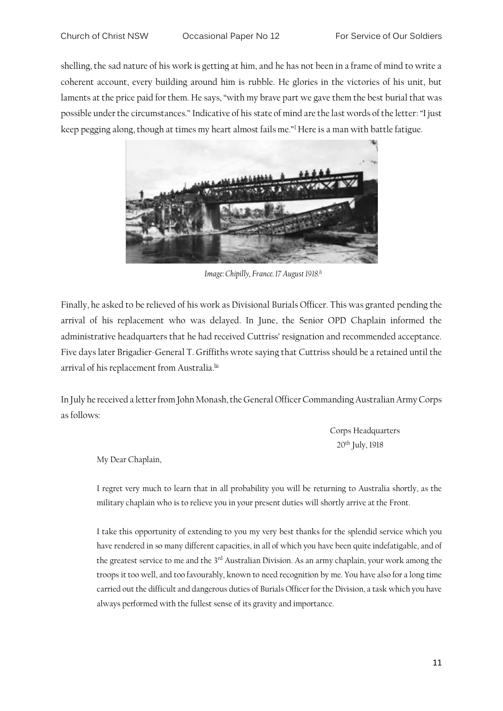shelling, the sad nature of his work is getting at him, and he has not been in a frame of mind to write a coherent account, every building around him is rubble. He glories in the victories of his unit, but laments at the price paid for them. He says, "with my brave part we gave them the best burial that was possible under the circumstances." Indicative of his state of mind are the last words of the letter: "I just keep pegging along, though at times my heart almost fails me."<sup>l</sup> Here is a man with battle fatigue.



*Image: Chipilly, France. 17 August 1918.li*

Finally, he asked to be relieved of his work as Divisional Burials Officer. This was granted pending the arrival of his replacement who was delayed. In June, the Senior OPD Chaplain informed the administrative headquarters that he had received Cuttriss' resignation and recommended acceptance. Five days later Brigadier-General T. Griffiths wrote saying that Cuttriss should be a retained until the arrival of his replacement from Australia.<sup>lii</sup>

In July he received a letter from John Monash, the General Officer Commanding Australian Army Corps as follows:

> Corps Headquarters 20th July, 1918

My Dear Chaplain,

I regret very much to learn that in all probability you will be returning to Australia shortly, as the military chaplain who is to relieve you in your present duties will shortly arrive at the Front.

I take this opportunity of extending to you my very best thanks for the splendid service which you have rendered in so many different capacities, in all of which you have been quite indefatigable, and of the greatest service to me and the 3<sup>rd</sup> Australian Division. As an army chaplain, your work among the troops it too well, and too favourably, known to need recognition by me. You have also for a long time carried out the difficult and dangerous duties of Burials Officer for the Division, a task which you have always performed with the fullest sense of its gravity and importance.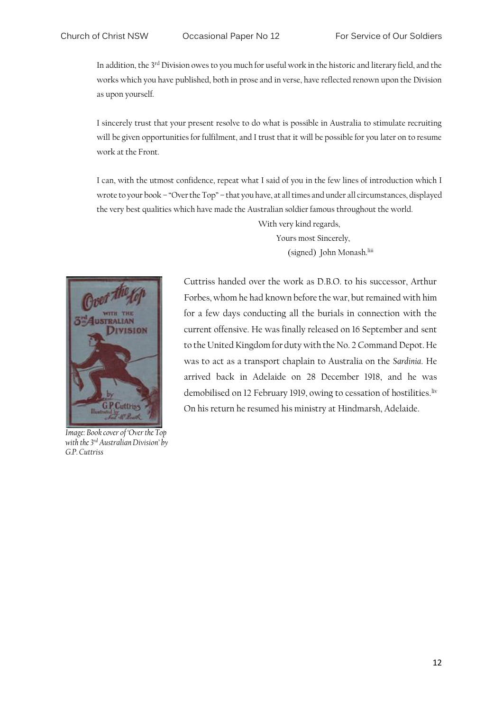In addition, the 3rd Division owes to you much for useful work in the historic and literary field, and the works which you have published, both in prose and in verse, have reflected renown upon the Division as upon yourself.

I sincerely trust that your present resolve to do what is possible in Australia to stimulate recruiting will be given opportunities for fulfilment, and I trust that it will be possible for you later on to resume work at the Front.

I can, with the utmost confidence, repeat what I said of you in the few lines of introduction which I wrote to your book – "Over the Top" – that you have, at all times and under all circumstances, displayed the very best qualities which have made the Australian soldier famous throughout the world.

> With very kind regards, Yours most Sincerely, (signed) John Monash.<sup>liii</sup>



*Image: Book cover of 'Over the Top with the 3rd Australian Division' by G.P. Cuttriss*

Cuttriss handed over the work as D.B.O. to his successor, Arthur Forbes, whom he had known before the war, but remained with him for a few days conducting all the burials in connection with the current offensive. He was finally released on 16 September and sent to the United Kingdom for duty with the No. 2 Command Depot. He was to act as a transport chaplain to Australia on the *Sardinia*. He arrived back in Adelaide on 28 December 1918, and he was demobilised on 12 February 1919, owing to cessation of hostilities.<sup>liv</sup> On his return he resumed his ministry at Hindmarsh, Adelaide.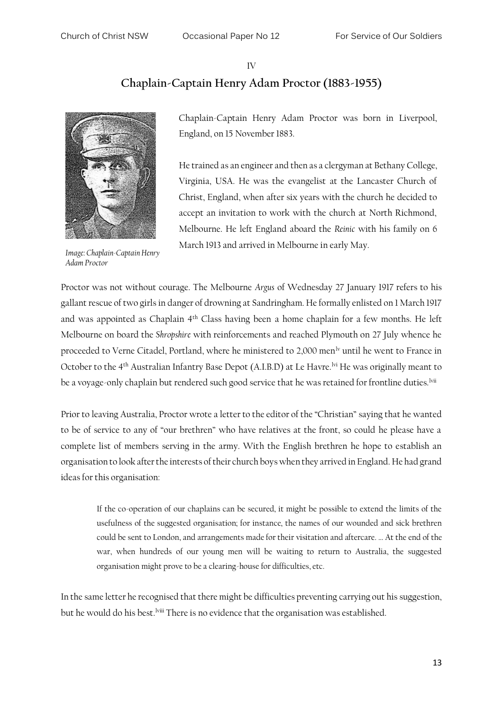### IV **Chaplain-Captain Henry Adam Proctor (1883-1955)**



*Image: Chaplain-Captain Henry Adam Proctor*

Chaplain-Captain Henry Adam Proctor was born in Liverpool, England, on 15 November 1883.

He trained as an engineer and then as a clergyman at Bethany College, Virginia, USA. He was the evangelist at the Lancaster Church of Christ, England, when after six years with the church he decided to accept an invitation to work with the church at North Richmond, Melbourne. He left England aboard the *Reinic* with his family on 6 March 1913 and arrived in Melbourne in early May.

Proctor was not without courage. The Melbourne *Argus* of Wednesday 27 January 1917 refers to his gallant rescue of two girls in danger of drowning at Sandringham. He formally enlisted on 1 March 1917 and was appointed as Chaplain 4th Class having been a home chaplain for a few months. He left Melbourne on board the *Shropshire* with reinforcements and reached Plymouth on 27 July whence he proceeded to Verne Citadel, Portland, where he ministered to 2,000 men<sup>lv</sup> until he went to France in October to the 4<sup>th</sup> Australian Infantry Base Depot (A.I.B.D) at Le Havre.<sup>lvi</sup> He was originally meant to be a voyage-only chaplain but rendered such good service that he was retained for frontline duties.<sup>lvii</sup>

Prior to leaving Australia, Proctor wrote a letter to the editor of the "Christian" saying that he wanted to be of service to any of "our brethren" who have relatives at the front, so could he please have a complete list of members serving in the army. With the English brethren he hope to establish an organisation to look after the interests of their church boys when they arrived in England. He had grand ideas for this organisation:

If the co-operation of our chaplains can be secured, it might be possible to extend the limits of the usefulness of the suggested organisation; for instance, the names of our wounded and sick brethren could be sent to London, and arrangements made for their visitation and aftercare. … At the end of the war, when hundreds of our young men will be waiting to return to Australia, the suggested organisation might prove to be a clearing-house for difficulties, etc.

In the same letter he recognised that there might be difficulties preventing carrying out his suggestion, but he would do his best.<sup>Iviii</sup> There is no evidence that the organisation was established.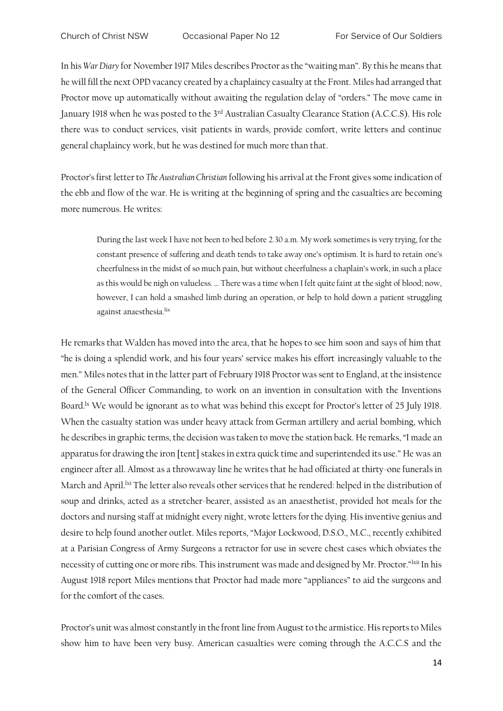In his *War Diary* for November 1917 Miles describes Proctor as the "waiting man". By this he means that he will fill the next OPD vacancy created by a chaplaincy casualty at the Front. Miles had arranged that Proctor move up automatically without awaiting the regulation delay of "orders." The move came in January 1918 when he was posted to the 3rd Australian Casualty Clearance Station (A.C.C.S). His role there was to conduct services, visit patients in wards, provide comfort, write letters and continue general chaplaincy work, but he was destined for much more than that.

Proctor's first letter to *The Australian Christian* following his arrival at the Front gives some indication of the ebb and flow of the war. He is writing at the beginning of spring and the casualties are becoming more numerous. He writes:

During the last week I have not been to bed before 2.30 a.m. My work sometimes is very trying, for the constant presence of suffering and death tends to take away one's optimism. It is hard to retain one's cheerfulness in the midst of so much pain, but without cheerfulness a chaplain's work, in such a place as this would be nigh on valueless. … There was a time when I felt quite faint at the sight of blood; now, however, I can hold a smashed limb during an operation, or help to hold down a patient struggling against anaesthesia.<sup>lix</sup>

He remarks that Walden has moved into the area, that he hopes to see him soon and says of him that "he is doing a splendid work, and his four years' service makes his effort increasingly valuable to the men." Miles notes that in the latter part of February 1918 Proctor was sent to England, at the insistence of the General Officer Commanding, to work on an invention in consultation with the Inventions Board.<sup>1x</sup> We would be ignorant as to what was behind this except for Proctor's letter of 25 July 1918. When the casualty station was under heavy attack from German artillery and aerial bombing, which he describes in graphic terms, the decision was taken to move the station back. He remarks, "I made an apparatus for drawing the iron [tent] stakes in extra quick time and superintended its use." He was an engineer after all. Almost as a throwaway line he writes that he had officiated at thirty-one funerals in March and April.<sup>lxi</sup> The letter also reveals other services that he rendered: helped in the distribution of soup and drinks, acted as a stretcher-bearer, assisted as an anaesthetist, provided hot meals for the doctors and nursing staff at midnight every night, wrote letters for the dying. His inventive genius and desire to help found another outlet. Miles reports, "Major Lockwood, D.S.O., M.C., recently exhibited at a Parisian Congress of Army Surgeons a retractor for use in severe chest cases which obviates the necessity of cutting one or more ribs. This instrument was made and designed by Mr. Proctor."lxii In his August 1918 report Miles mentions that Proctor had made more "appliances" to aid the surgeons and for the comfort of the cases.

Proctor's unit was almost constantly in the front line from August to the armistice. His reports to Miles show him to have been very busy. American casualties were coming through the A.C.C.S and the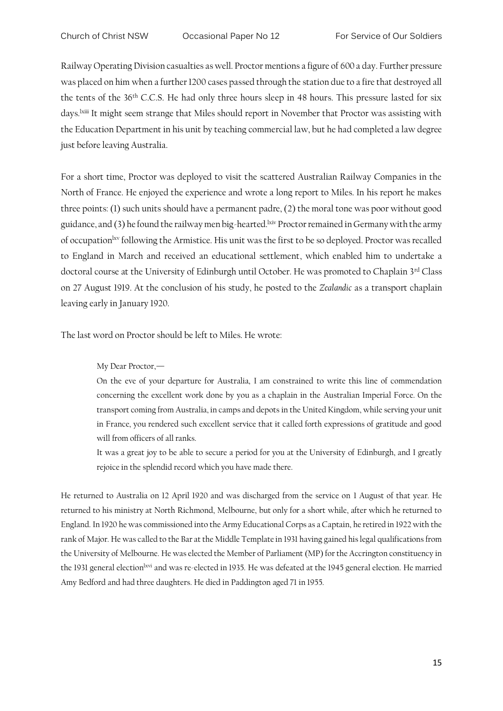Railway Operating Division casualties as well. Proctor mentions a figure of 600 a day. Further pressure was placed on him when a further 1200 cases passed through the station due to a fire that destroyed all the tents of the 36th C.C.S. He had only three hours sleep in 48 hours. This pressure lasted for six days.<sup>Ixiii</sup> It might seem strange that Miles should report in November that Proctor was assisting with the Education Department in his unit by teaching commercial law, but he had completed a law degree just before leaving Australia.

For a short time, Proctor was deployed to visit the scattered Australian Railway Companies in the North of France. He enjoyed the experience and wrote a long report to Miles. In his report he makes three points: (1) such units should have a permanent padre, (2) the moral tone was poor without good guidance, and (3) he found the railway men big-hearted.<sup>lxiv</sup> Proctor remained in Germany with the army of occupation<sup>lxv</sup> following the Armistice. His unit was the first to be so deployed. Proctor was recalled to England in March and received an educational settlement, which enabled him to undertake a doctoral course at the University of Edinburgh until October. He was promoted to Chaplain 3rd Class on 27 August 1919. At the conclusion of his study, he posted to the *Zealandic* as a transport chaplain leaving early in January 1920.

The last word on Proctor should be left to Miles. He wrote:

My Dear Proctor,—

On the eve of your departure for Australia, I am constrained to write this line of commendation concerning the excellent work done by you as a chaplain in the Australian Imperial Force. On the transport coming from Australia, in camps and depots in the United Kingdom, while serving your unit in France, you rendered such excellent service that it called forth expressions of gratitude and good will from officers of all ranks.

It was a great joy to be able to secure a period for you at the University of Edinburgh, and I greatly rejoice in the splendid record which you have made there.

He returned to Australia on 12 April 1920 and was discharged from the service on 1 August of that year. He returned to his ministry at North Richmond, Melbourne, but only for a short while, after which he returned to England. In 1920 he was commissioned into the Army Educational Corps as a Captain, he retired in 1922 with the rank of Major. He was called to the Bar at the Middle Template in 1931 having gained his legal qualifications from the University of Melbourne. He was elected the Member of Parliament (MP) for the Accrington constituency in the 1931 general election<sup>lxvi</sup> and was re-elected in 1935. He was defeated at the 1945 general election. He married Amy Bedford and had three daughters. He died in Paddington aged 71 in 1955.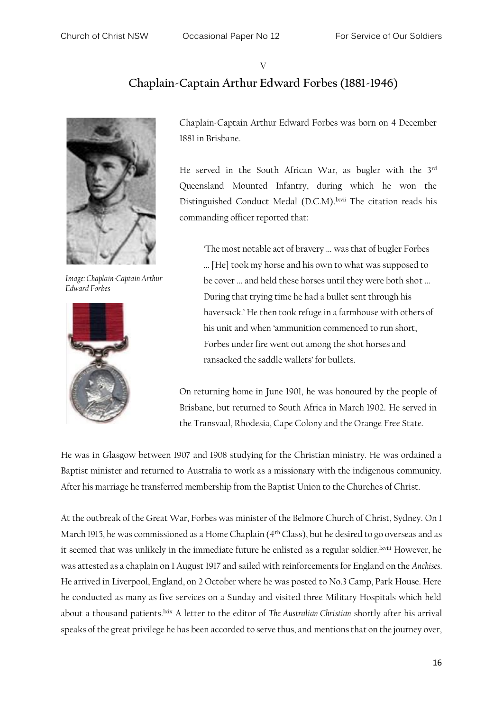V

### **Chaplain-Captain Arthur Edward Forbes (1881-1946)**

*Image: Chaplain-Captain Arthur Edward Forbes*



Chaplain-Captain Arthur Edward Forbes was born on 4 December 1881 in Brisbane.

He served in the South African War, as bugler with the 3rd Queensland Mounted Infantry, during which he won the Distinguished Conduct Medal (D.C.M).<sup>lxvii</sup> The citation reads his commanding officer reported that:

'The most notable act of bravery ... was that of bugler Forbes ... [He] took my horse and his own to what was supposed to be cover ... and held these horses until they were both shot ... During that trying time he had a bullet sent through his haversack.' He then took refuge in a farmhouse with others of his unit and when 'ammunition commenced to run short, Forbes under fire went out among the shot horses and ransacked the saddle wallets' for bullets.

On returning home in June 1901, he was honoured by the people of Brisbane, but returned to South Africa in March 1902. He served in the Transvaal, Rhodesia, Cape Colony and the Orange Free State.

He was in Glasgow between 1907 and 1908 studying for the Christian ministry. He was ordained a Baptist minister and returned to Australia to work as a missionary with the indigenous community. After his marriage he transferred membership from the Baptist Union to the Churches of Christ.

At the outbreak of the Great War, Forbes was minister of the Belmore Church of Christ, Sydney. On 1 March 1915, he was commissioned as a Home Chaplain (4th Class), but he desired to go overseas and as it seemed that was unlikely in the immediate future he enlisted as a regular soldier. Ixviii However, he was attested as a chaplain on 1 August 1917 and sailed with reinforcements for England on the *Anchises*. He arrived in Liverpool, England, on 2 October where he was posted to No.3 Camp, Park House. Here he conducted as many as five services on a Sunday and visited three Military Hospitals which held about a thousand patients.<sup>1xix</sup> A letter to the editor of *The Australian Christian shortly after his arrival* speaks of the great privilege he has been accorded to serve thus, and mentions that on the journey over,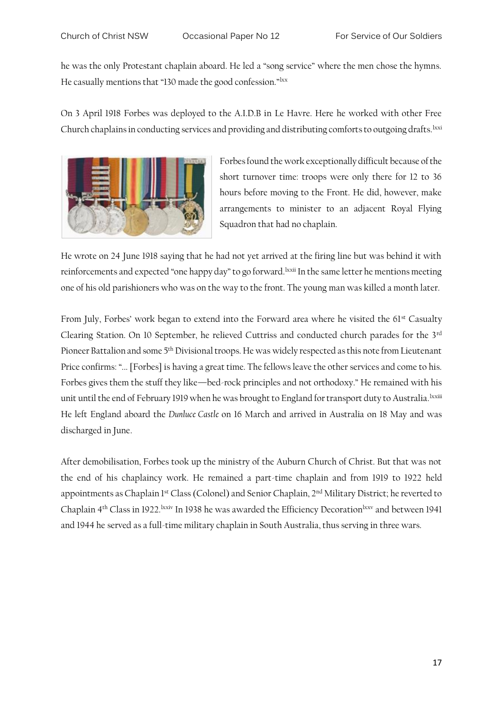he was the only Protestant chaplain aboard. He led a "song service" where the men chose the hymns. He casually mentions that "130 made the good confession."<sup>lxx</sup>

On 3 April 1918 Forbes was deployed to the A.I.D.B in Le Havre. Here he worked with other Free Church chaplains in conducting services and providing and distributing comforts to outgoing drafts. Lxxi



Forbes found the work exceptionally difficult because of the short turnover time: troops were only there for 12 to 36 hours before moving to the Front. He did, however, make arrangements to minister to an adjacent Royal Flying Squadron that had no chaplain.

He wrote on 24 June 1918 saying that he had not yet arrived at the firing line but was behind it with reinforcements and expected "one happy day" to go forward.<sup>1xxii</sup> In the same letter he mentions meeting one of his old parishioners who was on the way to the front. The young man was killed a month later.

From July, Forbes' work began to extend into the Forward area where he visited the 61<sup>st</sup> Casualty Clearing Station. On 10 September, he relieved Cuttriss and conducted church parades for the 3rd Pioneer Battalion and some 5th Divisional troops. He was widely respected as this note from Lieutenant Price confirms: "... [Forbes] is having a great time. The fellows leave the other services and come to his. Forbes gives them the stuff they like—bed-rock principles and not orthodoxy." He remained with his unit until the end of February 1919 when he was brought to England for transport duty to Australia. Ixxiii He left England aboard the *Dunluce Castle* on 16 March and arrived in Australia on 18 May and was discharged in June.

After demobilisation, Forbes took up the ministry of the Auburn Church of Christ. But that was not the end of his chaplaincy work. He remained a part-time chaplain and from 1919 to 1922 held appointments as Chaplain 1st Class (Colonel) and Senior Chaplain, 2nd Military District; he reverted to Chaplain 4<sup>th</sup> Class in 1922.<sup>1xxiv</sup> In 1938 he was awarded the Efficiency Decoration<sup>1xxv</sup> and between 1941 and 1944 he served as a full-time military chaplain in South Australia, thus serving in three wars.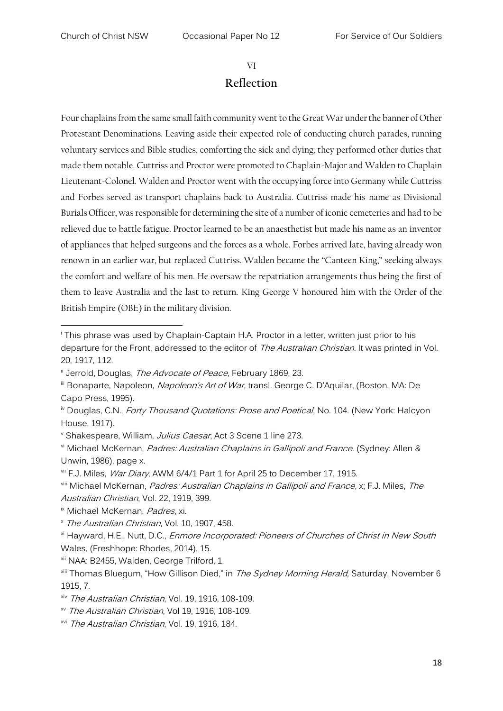#### VI

#### **Reflection**

Four chaplains from the same small faith community went to the Great War under the banner of Other Protestant Denominations. Leaving aside their expected role of conducting church parades, running voluntary services and Bible studies, comforting the sick and dying, they performed other duties that made them notable. Cuttriss and Proctor were promoted to Chaplain-Major and Walden to Chaplain Lieutenant-Colonel. Walden and Proctor went with the occupying force into Germany while Cuttriss and Forbes served as transport chaplains back to Australia. Cuttriss made his name as Divisional Burials Officer, was responsible for determining the site of a number of iconic cemeteries and had to be relieved due to battle fatigue. Proctor learned to be an anaesthetist but made his name as an inventor of appliances that helped surgeons and the forces as a whole. Forbes arrived late, having already won renown in an earlier war, but replaced Cuttriss. Walden became the "Canteen King," seeking always the comfort and welfare of his men. He oversaw the repatriation arrangements thus being the first of them to leave Australia and the last to return. King George V honoured him with the Order of the British Empire (OBE) in the military division.

<sup>&</sup>lt;sup>i</sup> This phrase was used by Chaplain-Captain H.A. Proctor in a letter, written just prior to his departure for the Front, addressed to the editor of *The Australian Christian*. It was printed in Vol. 20, 1917, 112.

ii Jerrold, Douglas, The Advocate of Peace, February 1869, 23.

iii Bonaparte, Napoleon, Napoleon's Art of War, transl. George C. D'Aquilar, (Boston, MA: De Capo Press, 1995).

<sup>&</sup>lt;sup>iv</sup> Douglas, C.N., *Forty Thousand Quotations: Prose and Poetical*, No. 104. (New York: Halcyon House, 1917).

v Shakespeare, William, Julius Caesar, Act 3 Scene 1 line 273.

vi Michael McKernan, Padres: Australian Chaplains in Gallipoli and France. (Sydney: Allen & Unwin, 1986), page x.

vii F.J. Miles, War Diary, AWM 6/4/1 Part 1 for April 25 to December 17, 1915.

viii Michael McKernan, *Padres: Australian Chaplains in Gallipoli and France*, x; F.J. Miles, The Australian Christian, Vol. 22, 1919, 399.

<sup>&</sup>lt;sup>ix</sup> Michael McKernan, Padres, xi.

<sup>x</sup> The Australian Christian, Vol. 10, 1907, 458.

xi Hayward, H.E., Nutt, D.C., Enmore Incorporated: Pioneers of Churches of Christ in New South Wales, (Freshhope: Rhodes, 2014), 15.

xii NAA: B2455, Walden, George Trilford, 1.

<sup>&</sup>lt;sup>xiii</sup> Thomas Bluegum, "How Gillison Died," in The Sydney Morning Herald, Saturday, November 6 1915, 7.

xiv The Australian Christian, Vol. 19, 1916, 108-109.

xv The Australian Christian, Vol 19, 1916, 108-109.

xvi The Australian Christian, Vol. 19, 1916, 184.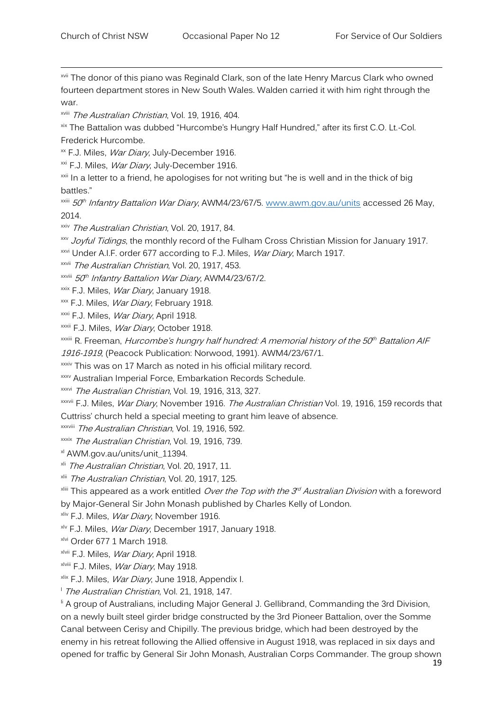<sup>xvii</sup> The donor of this piano was Reginald Clark, son of the late Henry Marcus Clark who owned fourteen department stores in New South Wales. Walden carried it with him right through the war.

xviii The Australian Christian, Vol. 19, 1916, 404.

xix The Battalion was dubbed "Hurcombe's Hungry Half Hundred," after its first C.O. Lt.-Col. Frederick Hurcombe.

<sup>xx</sup> F.J. Miles, *War Diary*, July-December 1916.

<sup>xxi</sup> F.J. Miles, *War Diary*, July-December 1916.

<sup>xxii</sup> In a letter to a friend, he apologises for not writing but "he is well and in the thick of big battles."

<sup>xxiii</sup> *50<sup>th</sup> Infantry Battalion War Diary*, AWM4/23/67/5. <u>www.awm.gov.au/units</u> accessed 26 May, 2014.

xxiv The Australian Christian, Vol. 20, 1917, 84.

xxv Joyful Tidings, the monthly record of the Fulham Cross Christian Mission for January 1917.

xxvi Under A.I.F. order 677 according to F.J. Miles, War Diary, March 1917.

xxvii The Australian Christian, Vol. 20, 1917, 453.

<sup>xxviii</sup> 50<sup>th</sup> Infantry Battalion War Diary, AWM4/23/67/2.

<sup>xxix</sup> F.J. Miles, *War Diary*, January 1918.

xxx F.J. Miles, War Diary, February 1918.

xxxi F.J. Miles, *War Diary*, April 1918.

xxxii F.J. Miles, War Diary, October 1918.

<sup>xxxiii</sup> R. Freeman, *Hurcombe's hungry half hundred: A memorial history of the 50<sup>th</sup> Battalion AIF* 

1916-1919, (Peacock Publication: Norwood, 1991). AWM4/23/67/1.

**xxxiv** This was on 17 March as noted in his official military record.

xxxv Australian Imperial Force, Embarkation Records Schedule.

xxxvi The Australian Christian, Vol. 19, 1916, 313, 327.

xxxvii F.J. Miles, War Diary, November 1916. The Australian Christian Vol. 19, 1916, 159 records that Cuttriss' church held a special meeting to grant him leave of absence.

xxxviii The Australian Christian, Vol. 19, 1916, 592.

xxxix The Australian Christian, Vol. 19, 1916, 739.

xl AWM.gov.au/units/unit\_11394.

xli The Australian Christian, Vol. 20, 1917, 11.

xlii The Australian Christian, Vol. 20, 1917, 125.

 $^{\text{\tiny{Aliii}}}$  This appeared as a work entitled *Over the Top with the 3<sup>rd</sup> Australian Division* with a foreword by Major-General Sir John Monash published by Charles Kelly of London.

<sup>xliv</sup> F.J. Miles, *War Diary*, November 1916.

xlv F.J. Miles, War Diary, December 1917, January 1918.

xlvi Order 677 1 March 1918.

xlvii F.J. Miles, War Diary, April 1918.

xlviii F.J. Miles, *War Diary*, May 1918.

xlix F.J. Miles, *War Diary*, June 1918, Appendix I.

<sup>1</sup> The Australian Christian, Vol. 21, 1918, 147.

<sup>li</sup> A group of Australians, including Major General J. Gellibrand, Commanding the 3rd Division, on a newly built steel girder bridge constructed by the 3rd Pioneer Battalion, over the Somme Canal between Cerisy and Chipilly. The previous bridge, which had been destroyed by the enemy in his retreat following the Allied offensive in August 1918, was replaced in six days and opened for traffic by General Sir John Monash, Australian Corps Commander. The group shown